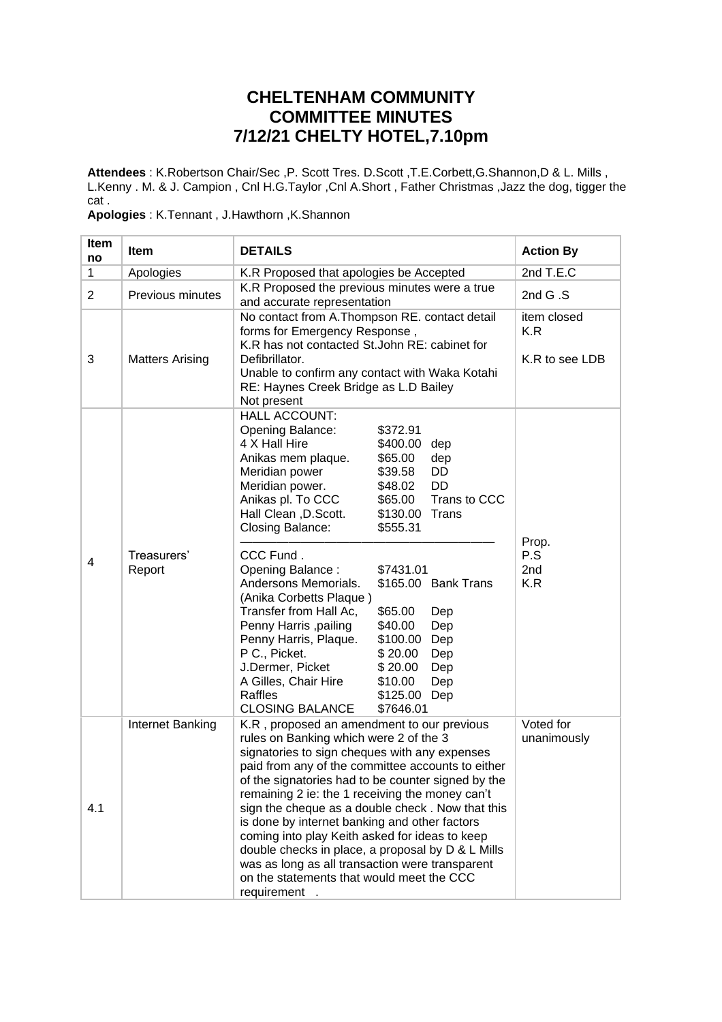## **CHELTENHAM COMMUNITY COMMITTEE MINUTES 7/12/21 CHELTY HOTEL,7.10pm**

**Attendees** : K.Robertson Chair/Sec ,P. Scott Tres. D.Scott ,T.E.Corbett,G.Shannon,D & L. Mills , L.Kenny . M. & J. Campion , Cnl H.G.Taylor ,Cnl A.Short , Father Christmas ,Jazz the dog, tigger the cat .

**Apologies** : K.Tennant , J.Hawthorn ,K.Shannon

| <b>Item</b><br>no | <b>Item</b>            | <b>DETAILS</b>                                                                                                                                                                                                                                                                                                                                                                                                                                                                                                                                                                                                                                                                                                                                                                      | <b>Action By</b>                     |
|-------------------|------------------------|-------------------------------------------------------------------------------------------------------------------------------------------------------------------------------------------------------------------------------------------------------------------------------------------------------------------------------------------------------------------------------------------------------------------------------------------------------------------------------------------------------------------------------------------------------------------------------------------------------------------------------------------------------------------------------------------------------------------------------------------------------------------------------------|--------------------------------------|
| 1                 | Apologies              | K.R Proposed that apologies be Accepted                                                                                                                                                                                                                                                                                                                                                                                                                                                                                                                                                                                                                                                                                                                                             | 2nd T.E.C                            |
| $\overline{2}$    | Previous minutes       | K.R Proposed the previous minutes were a true<br>and accurate representation                                                                                                                                                                                                                                                                                                                                                                                                                                                                                                                                                                                                                                                                                                        | 2nd $G.S$                            |
| 3                 | <b>Matters Arising</b> | No contact from A.Thompson RE. contact detail<br>forms for Emergency Response,<br>K.R has not contacted St.John RE: cabinet for<br>Defibrillator.<br>Unable to confirm any contact with Waka Kotahi<br>RE: Haynes Creek Bridge as L.D Bailey<br>Not present                                                                                                                                                                                                                                                                                                                                                                                                                                                                                                                         | item closed<br>K.R<br>K.R to see LDB |
| 4                 | Treasurers'<br>Report  | <b>HALL ACCOUNT:</b><br>Opening Balance:<br>\$372.91<br>4 X Hall Hire<br>\$400.00 dep<br>Anikas mem plaque.<br>\$65.00<br>dep<br>Meridian power<br>\$39.58<br>DD<br><b>DD</b><br>Meridian power.<br>\$48.02<br>Anikas pl. To CCC<br>Trans to CCC<br>\$65.00<br>Hall Clean, D.Scott.<br>\$130.00 Trans<br>Closing Balance:<br>\$555.31<br>CCC Fund.<br>Opening Balance:<br>\$7431.01<br>Andersons Memorials.<br>\$165.00 Bank Trans<br>(Anika Corbetts Plaque)<br>Transfer from Hall Ac,<br>\$65.00<br>Dep<br>Penny Harris , pailing<br>\$40.00<br>Dep<br>Penny Harris, Plaque.<br>\$100.00 Dep<br>P C., Picket.<br>\$20.00<br>Dep<br>J.Dermer, Picket<br>\$20.00<br>Dep<br>A Gilles, Chair Hire<br>\$10.00<br>Dep<br>Raffles<br>\$125.00 Dep<br><b>CLOSING BALANCE</b><br>\$7646.01 | Prop.<br>P.S<br>2nd<br>K.R           |
| 4.1               | Internet Banking       | K.R, proposed an amendment to our previous<br>rules on Banking which were 2 of the 3<br>signatories to sign cheques with any expenses<br>paid from any of the committee accounts to either<br>of the signatories had to be counter signed by the<br>remaining 2 ie: the 1 receiving the money can't<br>sign the cheque as a double check. Now that this<br>is done by internet banking and other factors<br>coming into play Keith asked for ideas to keep<br>double checks in place, a proposal by D & L Mills<br>was as long as all transaction were transparent<br>on the statements that would meet the CCC<br>requirement.                                                                                                                                                     | Voted for<br>unanimously             |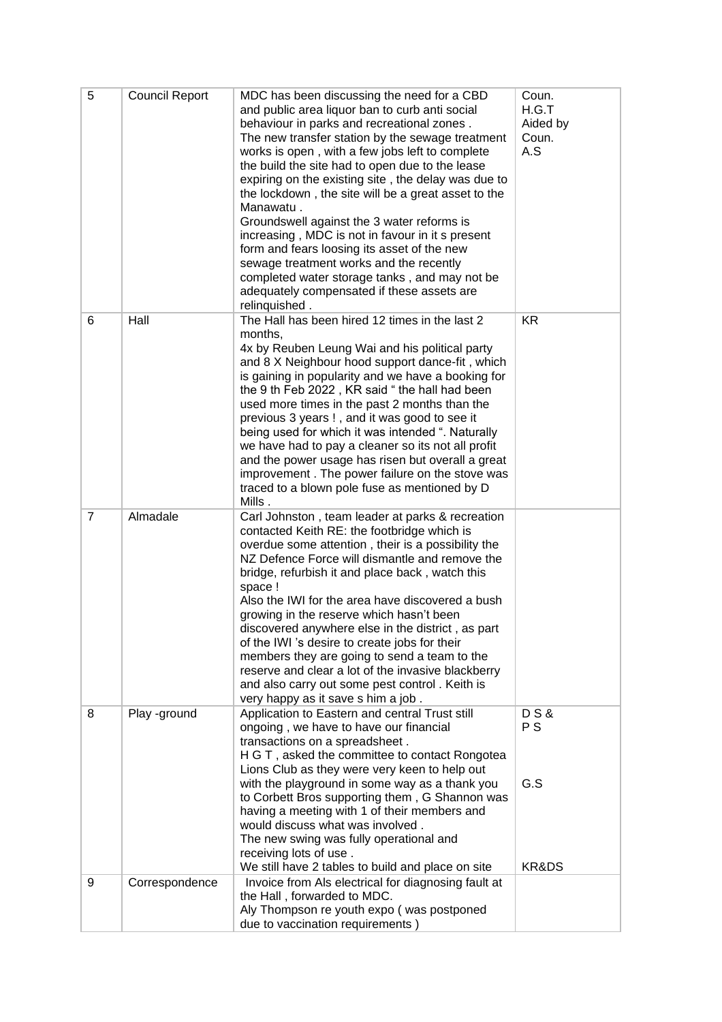| 5              | <b>Council Report</b> | MDC has been discussing the need for a CBD<br>and public area liquor ban to curb anti social<br>behaviour in parks and recreational zones.<br>The new transfer station by the sewage treatment<br>works is open, with a few jobs left to complete<br>the build the site had to open due to the lease<br>expiring on the existing site, the delay was due to<br>the lockdown, the site will be a great asset to the<br>Manawatu.<br>Groundswell against the 3 water reforms is<br>increasing, MDC is not in favour in it s present<br>form and fears loosing its asset of the new<br>sewage treatment works and the recently<br>completed water storage tanks, and may not be<br>adequately compensated if these assets are<br>relinquished. | Coun.<br>H.G.T<br>Aided by<br>Coun.<br>A.S |
|----------------|-----------------------|---------------------------------------------------------------------------------------------------------------------------------------------------------------------------------------------------------------------------------------------------------------------------------------------------------------------------------------------------------------------------------------------------------------------------------------------------------------------------------------------------------------------------------------------------------------------------------------------------------------------------------------------------------------------------------------------------------------------------------------------|--------------------------------------------|
| 6              | Hall                  | The Hall has been hired 12 times in the last 2<br>months,<br>4x by Reuben Leung Wai and his political party<br>and 8 X Neighbour hood support dance-fit, which<br>is gaining in popularity and we have a booking for<br>the 9 th Feb 2022, KR said "the hall had been<br>used more times in the past 2 months than the<br>previous 3 years !, and it was good to see it<br>being used for which it was intended ". Naturally<br>we have had to pay a cleaner so its not all profit<br>and the power usage has risen but overall a great<br>improvement. The power failure on the stove was<br>traced to a blown pole fuse as mentioned by D<br>Mills.                                                                                       | KR.                                        |
| $\overline{7}$ | Almadale              | Carl Johnston, team leader at parks & recreation<br>contacted Keith RE: the footbridge which is<br>overdue some attention, their is a possibility the<br>NZ Defence Force will dismantle and remove the<br>bridge, refurbish it and place back, watch this<br>space !<br>Also the IWI for the area have discovered a bush<br>growing in the reserve which hasn't been<br>discovered anywhere else in the district, as part<br>of the IWI 's desire to create jobs for their<br>members they are going to send a team to the<br>reserve and clear a lot of the invasive blackberry<br>and also carry out some pest control. Keith is<br>very happy as it save s him a job.                                                                   |                                            |
| 8              | Play -ground          | Application to Eastern and central Trust still<br>ongoing, we have to have our financial<br>transactions on a spreadsheet.<br>H G T, asked the committee to contact Rongotea<br>Lions Club as they were very keen to help out<br>with the playground in some way as a thank you<br>to Corbett Bros supporting them, G Shannon was<br>having a meeting with 1 of their members and                                                                                                                                                                                                                                                                                                                                                           | <b>DS&amp;</b><br>P S<br>G.S               |
|                |                       | would discuss what was involved.<br>The new swing was fully operational and<br>receiving lots of use.<br>We still have 2 tables to build and place on site                                                                                                                                                                                                                                                                                                                                                                                                                                                                                                                                                                                  | KR&DS                                      |
| 9              | Correspondence        | Invoice from Als electrical for diagnosing fault at<br>the Hall, forwarded to MDC.<br>Aly Thompson re youth expo (was postponed<br>due to vaccination requirements)                                                                                                                                                                                                                                                                                                                                                                                                                                                                                                                                                                         |                                            |